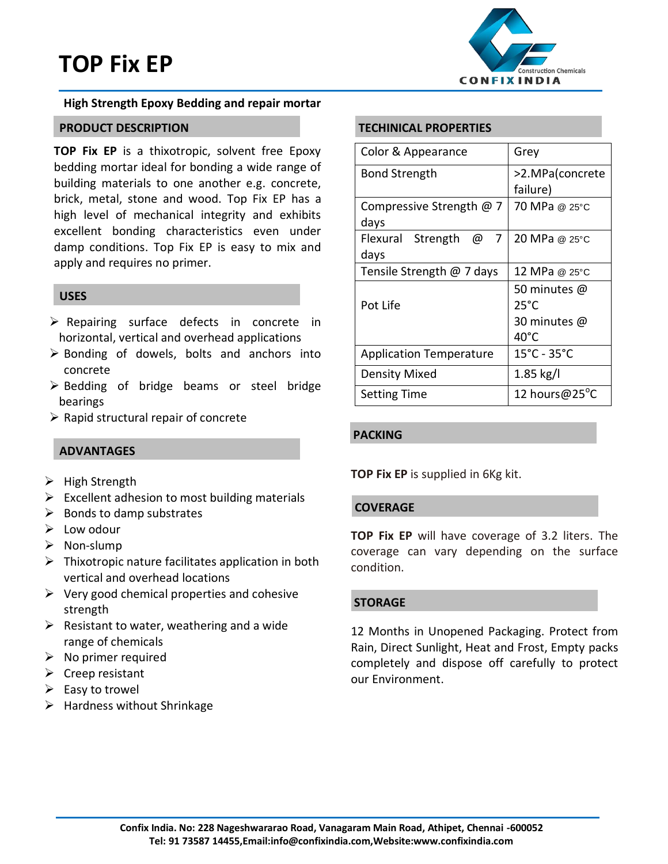# **TOP Fix EP**



# **High Strength Epoxy Bedding and repair mortar**

# **PRODUCT DESCRIPTION**

**TOP Fix EP** is a thixotropic, solvent free Epoxy bedding mortar ideal for bonding a wide range of building materials to one another e.g. concrete, brick, metal, stone and wood. Top Fix EP has a high level of mechanical integrity and exhibits excellent bonding characteristics even under damp conditions. Top Fix EP is easy to mix and apply and requires no primer.

# **USES**

- $\triangleright$  Repairing surface defects in concrete in horizontal, vertical and overhead applications
- $\triangleright$  Bonding of dowels, bolts and anchors into concrete
- $\triangleright$  Bedding of bridge beams or steel bridge bearings
- $\triangleright$  Rapid structural repair of concrete

# **ADVANTAGES**

- $\triangleright$  High Strength
- $\triangleright$  Excellent adhesion to most building materials
- $\triangleright$  Bonds to damp substrates
- $\triangleright$  Low odour
- $\triangleright$  Non-slump
- $\triangleright$  Thixotropic nature facilitates application in both vertical and overhead locations
- $\triangleright$  Very good chemical properties and cohesive strength
- $\triangleright$  Resistant to water, weathering and a wide range of chemicals
- $\triangleright$  No primer required
- $\triangleright$  Creep resistant
- $\triangleright$  Easy to trowel
- $\triangleright$  Hardness without Shrinkage

# **TECHINICAL PROPERTIES**

| Color & Appearance             | Grey                     |
|--------------------------------|--------------------------|
| <b>Bond Strength</b>           | >2.MPa(concrete          |
|                                | failure)                 |
| Compressive Strength @ 7       | 70 MPa @ 25°C            |
| days                           |                          |
| Flexural Strength<br>@<br>7    | 20 MPa @ 25°C            |
| days                           |                          |
| Tensile Strength @ 7 days      | 12 MPa @ 25°C            |
|                                | 50 minutes $\varpi$      |
| Pot Life                       | $25^{\circ}$ C           |
|                                | 30 minutes @             |
|                                | 40°C                     |
| <b>Application Temperature</b> | 15°C - 35°C              |
| <b>Density Mixed</b>           | $1.85$ kg/l              |
| <b>Setting Time</b>            | 12 hours@25 $^{\circ}$ C |

# **PACKING**

**TOP Fix EP** is supplied in 6Kg kit.

# **COVERAGE**

**TOP Fix EP** will have coverage of 3.2 liters. The coverage can vary depending on the surface condition.

# **STORAGE**

12 Months in Unopened Packaging. Protect from Rain, Direct Sunlight, Heat and Frost, Empty packs completely and dispose off carefully to protect our Environment.